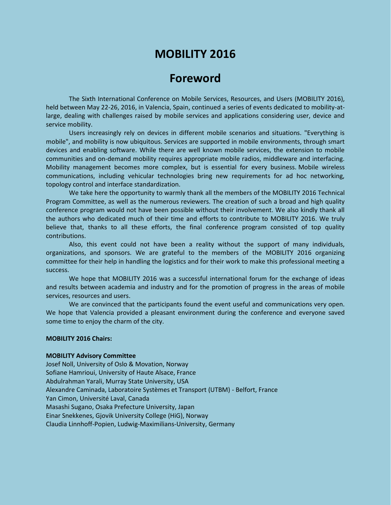# **MOBILITY 2016**

# **Foreword**

The Sixth International Conference on Mobile Services, Resources, and Users (MOBILITY 2016), held between May 22-26, 2016, in Valencia, Spain, continued a series of events dedicated to mobility-atlarge, dealing with challenges raised by mobile services and applications considering user, device and service mobility.

Users increasingly rely on devices in different mobile scenarios and situations. "Everything is mobile", and mobility is now ubiquitous. Services are supported in mobile environments, through smart devices and enabling software. While there are well known mobile services, the extension to mobile communities and on-demand mobility requires appropriate mobile radios, middleware and interfacing. Mobility management becomes more complex, but is essential for every business. Mobile wireless communications, including vehicular technologies bring new requirements for ad hoc networking, topology control and interface standardization.

We take here the opportunity to warmly thank all the members of the MOBILITY 2016 Technical Program Committee, as well as the numerous reviewers. The creation of such a broad and high quality conference program would not have been possible without their involvement. We also kindly thank all the authors who dedicated much of their time and efforts to contribute to MOBILITY 2016. We truly believe that, thanks to all these efforts, the final conference program consisted of top quality contributions.

Also, this event could not have been a reality without the support of many individuals, organizations, and sponsors. We are grateful to the members of the MOBILITY 2016 organizing committee for their help in handling the logistics and for their work to make this professional meeting a success.

We hope that MOBILITY 2016 was a successful international forum for the exchange of ideas and results between academia and industry and for the promotion of progress in the areas of mobile services, resources and users.

We are convinced that the participants found the event useful and communications very open. We hope that Valencia provided a pleasant environment during the conference and everyone saved some time to enjoy the charm of the city.

### **MOBILITY 2016 Chairs:**

#### **MOBILITY Advisory Committee**

Josef Noll, University of Oslo & Movation, Norway Sofiane Hamrioui, University of Haute Alsace, France Abdulrahman Yarali, Murray State University, USA Alexandre Caminada, Laboratoire Systèmes et Transport (UTBM) - Belfort, France Yan Cimon, Université Laval, Canada Masashi Sugano, Osaka Prefecture University, Japan Einar Snekkenes, Gjovik University College (HiG), Norway Claudia Linnhoff-Popien, Ludwig-Maximilians-University, Germany